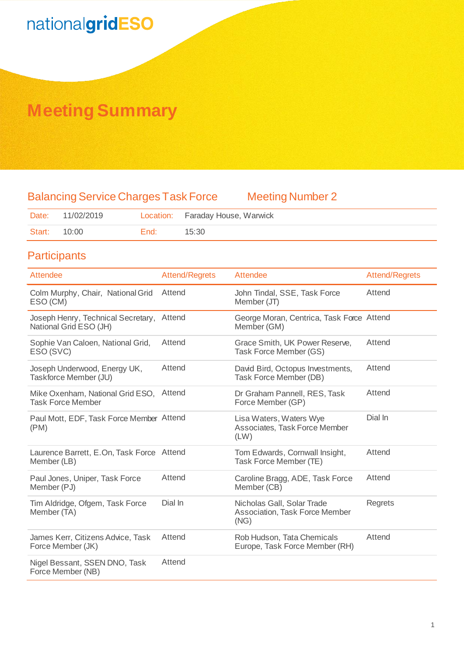# nationalgridESO

## **Meeting Summary**

## Balancing Service Charges Task Force Meeting Number 2

|              | Date: 11/02/2019 |      | Location: Faraday House, Warwick |
|--------------|------------------|------|----------------------------------|
| Start: 10:00 |                  | End: | 15:30                            |

### **Participants**

| <b>Attendee</b>                                              | <b>Attend/Regrets</b> | Attendee                                                             | <b>Attend/Regrets</b> |
|--------------------------------------------------------------|-----------------------|----------------------------------------------------------------------|-----------------------|
| Colm Murphy, Chair, National Grid<br>ESO (CM)                | Attend                | John Tindal, SSE, Task Force<br>Member (JT)                          | Attend                |
| Joseph Henry, Technical Secretary,<br>National Grid ESO (JH) | Attend                | George Moran, Centrica, Task Force Attend<br>Member (GM)             |                       |
| Sophie Van Caloen, National Grid,<br>ESO (SVC)               | Attend                | Grace Smith, UK Power Reserve,<br>Task Force Member (GS)             | Attend                |
| Joseph Underwood, Energy UK,<br>Taskforce Member (JU)        | Attend                | David Bird, Octopus Investments,<br>Task Force Member (DB)           | Attend                |
| Mike Oxenham, National Grid ESO,<br><b>Task Force Member</b> | Attend                | Dr Graham Pannell, RES, Task<br>Force Member (GP)                    | Attend                |
| Paul Mott, EDF, Task Force Member Attend<br>(PM)             |                       | Lisa Waters, Waters Wye<br>Associates, Task Force Member<br>(LW)     | Dial In               |
| Laurence Barrett, E.On, Task Force Attend<br>Member (LB)     |                       | Tom Edwards, Cornwall Insight,<br>Task Force Member (TE)             | Attend                |
| Paul Jones, Uniper, Task Force<br>Member (PJ)                | Attend                | Caroline Bragg, ADE, Task Force<br>Member (CB)                       | Attend                |
| Tim Aldridge, Ofgem, Task Force<br>Member (TA)               | Dial In               | Nicholas Gall, Solar Trade<br>Association, Task Force Member<br>(NG) | Regrets               |
| James Kerr, Citizens Advice, Task<br>Force Member (JK)       | Attend                | Rob Hudson, Tata Chemicals<br>Europe, Task Force Member (RH)         | Attend                |
| Nigel Bessant, SSEN DNO, Task<br>Force Member (NB)           | Attend                |                                                                      |                       |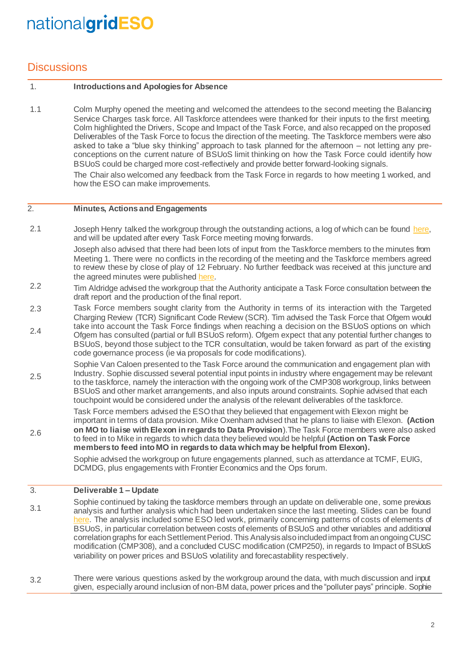## nationalgridESO

### **Discussions**

#### 1. **Introductions and Apologies for Absence**

1.1 Colm Murphy opened the meeting and welcomed the attendees to the second meeting the Balancing Service Charges task force. All Taskforce attendees were thanked for their inputs to the first meeting. Colm highlighted the Drivers, Scope and Impact of the Task Force, and also recapped on the proposed Deliverables of the Task Force to focus the direction of the meeting. The Taskforce members were also asked to take a "blue sky thinking" approach to task planned for the afternoon – not letting any preconceptions on the current nature of BSUoS limit thinking on how the Task Force could identify how BSUoS could be charged more cost-reflectively and provide better forward-looking signals.

> The Chair also welcomed any feedback from the Task Force in regards to how meeting 1 worked, and how the ESO can make improvements.

#### 2. **Minutes, Actions and Engagements**

2.1 Joseph Henry talked the workgroup through the outstanding actions, a log of which can be found here. and will be updated after every Task Force meeting moving forwards.

> Joseph also advised that there had been lots of input from the Taskforce members to the minutes from Meeting 1. There were no conflicts in the recording of the meeting and the Taskforce members agreed to review these by close of play of 12 February. No further feedback was received at this juncture and the agreed minutes were publishe[d here.](http://www.chargingfutures.com/)

- 2.2 Tim Aldridge advised the workgroup that the Authority anticipate a Task Force consultation between the draft report and the production of the final report.
- 2.3 Task Force members sought clarity from the Authority in terms of its interaction with the Targeted Charging Review (TCR) Significant Code Review (SCR). Tim advised the Task Force that Ofgem would take into account the Task Force findings when reaching a decision on the BSUoS options on which
- 2.4 Ofgem has consulted (partial or full BSUoS reform). Ofgem expect that any potential further changes to BSUoS, beyond those subject to the TCR consultation, would be taken forward as part of the existing code governance process (ie via proposals for code modifications).

2.5 Sophie Van Caloen presented to the Task Force around the communication and engagement plan with Industry. Sophie discussed several potential input points in industry where engagement may be relevant to the taskforce, namely the interaction with the ongoing work of the CMP308 workgroup, links between BSUoS and other market arrangements, and also inputs around constraints. Sophie advised that each touchpoint would be considered under the analysis of the relevant deliverables of the taskforce.

Task Force members advised the ESO that they believed that engagement with Elexon might be important in terms of data provision. Mike Oxenham advised that he plans to liaise with Elexon. **(Action on MO to liaise with Elexon in regards to Data Provision**).The Task Force members were also asked to feed in to Mike in regards to which data they believed would be helpful **(Action on Task Force members to feed into MO in regards to data which may be helpful from Elexon).**

Sophie advised the workgroup on future engagements planned, such as attendance at TCMF, EUIG, DCMDG, plus engagements with Frontier Economics and the Ops forum.

#### 3. **Deliverable 1 – Update**

2.6

3.1 Sophie continued by taking the taskforce members through an update on deliverable one, some previous analysis and further analysis which had been undertaken since the last meeting. Slides can be found [here.](http://www.chargingfutures.com/) The analysis included some ESO led work, primarily concerning patterns of costs of elements of BSUoS, in particular correlation between costs of elements of BSUoS and other variables and additional correlation graphs for each Settlement Period. This Analysis also included impact from an ongoing CUSC modification (CMP308), and a concluded CUSC modification (CMP250), in regards to Impact of BSUoS variability on power prices and BSUoS volatility and forecastability respectively.

3.2 There were various questions asked by the workgroup around the data, with much discussion and input given, especially around inclusion of non-BM data, power prices and the "polluter pays" principle. Sophie